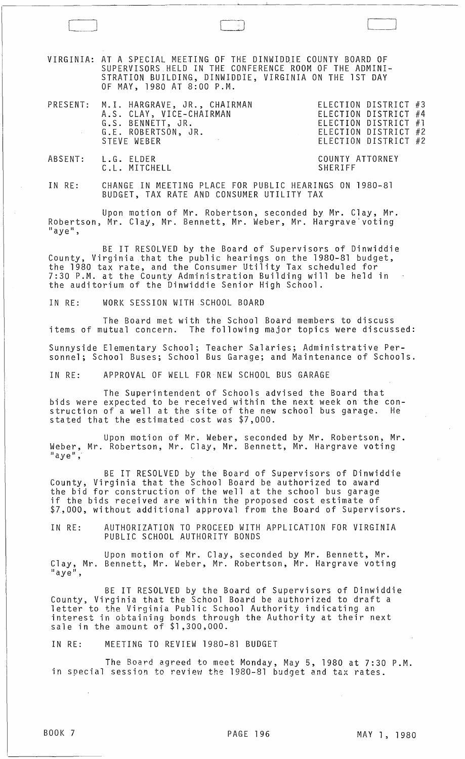VIRGINIA: AT A SPECIAL MEETING OF THE DINWIDQIE COUNTY BOARD OF SUPERVISORS.HELD IN THE CONFERENCE ROOM OF THE ADMINI-STRATION BUILDING, DINWIDDIE, VIRGINIA ON THE 1ST DAY OF MAY, 1980 AT 8:00 P.M.

| PRESENT: M.I. HARGRAVE, JR., CHAIRMAN<br>A.S. CLAY, VICE-CHAIRMAN<br>G.S. BENNETT, JR.<br>G.E. ROBERTSON, JR.<br>STEVE WEBER | ELECTION DISTRICT #3<br>ELECTION DISTRICT #4<br>ELECTION DISTRICT #1<br>ELECTION DISTRICT #2<br>ELECTION DISTRICT #2 |  |
|------------------------------------------------------------------------------------------------------------------------------|----------------------------------------------------------------------------------------------------------------------|--|
|                                                                                                                              |                                                                                                                      |  |

ABSENT: L.G. ELDER C.L. MITCHELL COUNTY ATTORNEY SHERIFF

IN RE: CHANGE IN MEETING PLACE FOR PUBLIC HEARINGS ON 1980-81 BUDGET, TAX RATE AND CONSUMER UTILITY TAX

Upon motion of Mr. Robertson, seconded by Mr. Clay, Mr. Robertson, Mr. Clay, Mr. Bennett, Mr. Weber, Mr. Hargrave voting<br>"aye",

BE IT RESOLVED by the Board of Supervisors of Dinwiddie County, Virginia that the public hearings on the 1980-81 budget, the 1980 tax rate, and the Consumer Utility Tax scheduled for 7:30 P.M. at the County Administration Building will be held in the auditorium of the Dinwiddie Senior High School.

IN RE: WORK SESSION WITH SCHOOL BOARD

The Board met with the School Board members to discuss items of mutual concern. The following major topics were discussed: Sunnyside Elementary School; Teacher Salaries; Administrative Personnel; School Buses; School Bus Garage; and Maintenance of Schools.

IN RE: APPROVAL OF WELL FOR NEW SCHOOL BUS GARAGE

The Superintendent of Schools advised the Board that bids were expected to be received within the next week on the construction of a well at the site of the new school bus garage. He stated that the estimated cost was \$7,000.

Upon motion of Mr. Weber, seconded by Mr. Robertson, Mr. Weber, Mr. Robertson, Mr. Clay, Mr. Bennett, Mr. Hargrave voting ......<br>"ave",

BE IT RESOLVED by the Board of Supervisors of Dinwiddie County, Virginia that the School Board be authorized to award the bid for construction of the well at the school bus garage if the bids received are within the proposed cost estimate of \$7,000, without additional approval from the Board of Supervisors.

IN RE: AUTHORIZATION TO PROCEED WITH APPLICATION FOR VIRGINIA PUBLIC SCHOOL AUTHORITY BONDS

Upon motion of Mr. Clay, seconded by Mr. Bennett, Mr. Clay, Mr. Bennett, Mr. Weber, Mr. Robertson, Mr. Hargrave voting<br>"aye",

BE IT RESOLVED by the Board of Supervisors of Dinwiddie County, Virginia that the School Board be authorized to draft a letter to the Virginia Public School Authority indicating an interest in obtaining bonds through the Authority at their next ale in the amount of \$1,300,000.

IN RE: MEETING TO REVIEW 1980-81 BUDGET

The Board agreed to meet Monday, May 5, 1980 at 7:30 P.M. in special session to review the 1980-81 budget and tax rates.